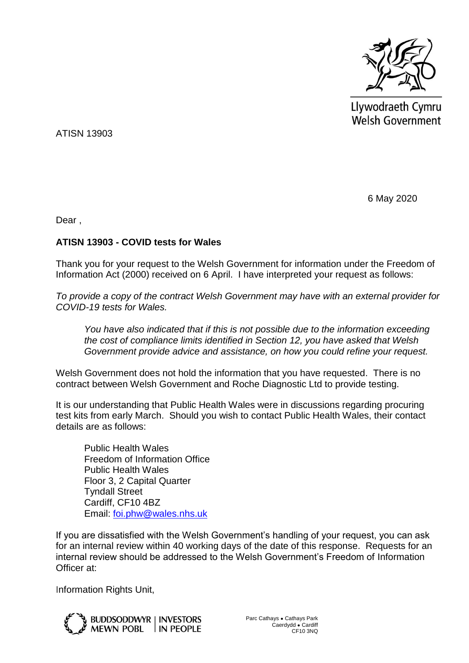

Llywodraeth Cymru **Welsh Government** 

ATISN 13903

6 May 2020

Dear ,

## **ATISN 13903 - COVID tests for Wales**

Thank you for your request to the Welsh Government for information under the Freedom of Information Act (2000) received on 6 April. I have interpreted your request as follows:

*To provide a copy of the contract Welsh Government may have with an external provider for COVID-19 tests for Wales.* 

*You have also indicated that if this is not possible due to the information exceeding the cost of compliance limits identified in Section 12, you have asked that Welsh Government provide advice and assistance, on how you could refine your request.* 

Welsh Government does not hold the information that you have requested. There is no contract between Welsh Government and Roche Diagnostic Ltd to provide testing.

It is our understanding that Public Health Wales were in discussions regarding procuring test kits from early March. Should you wish to contact Public Health Wales, their contact details are as follows:

Public Health Wales Freedom of Information Office Public Health Wales Floor 3, 2 Capital Quarter Tyndall Street Cardiff, CF10 4BZ Email: [foi.phw@wales.nhs.uk](mailto:foi.phw@wales.nhs.uk)

If you are dissatisfied with the Welsh Government's handling of your request, you can ask for an internal review within 40 working days of the date of this response. Requests for an internal review should be addressed to the Welsh Government's Freedom of Information Officer at:

Information Rights Unit,